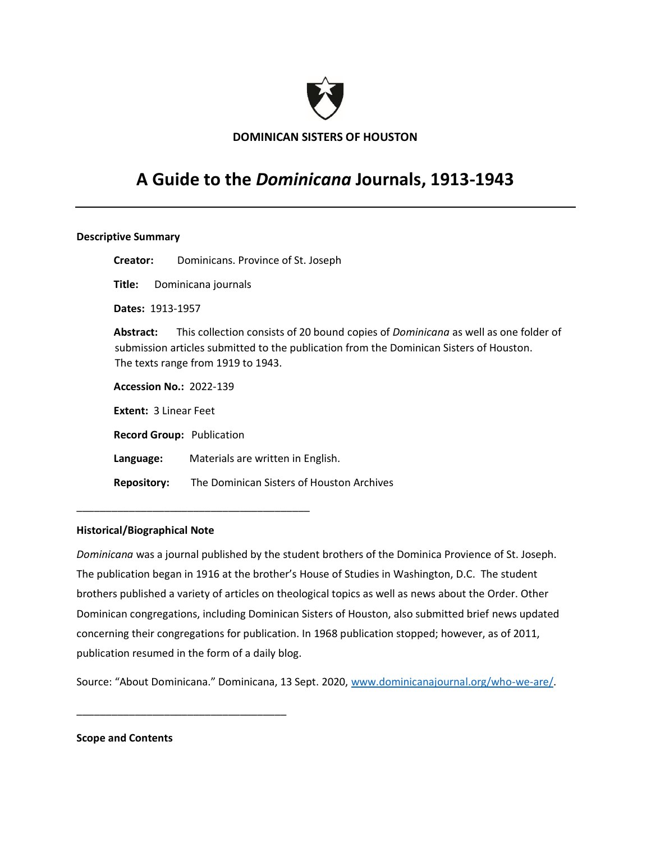

**DOMINICAN SISTERS OF HOUSTON**

# **A Guide to the** *Dominicana* **Journals, 1913-1943**

#### **Descriptive Summary**

 **Creator:** Dominicans. Province of St. Joseph **Title:** Dominicana journals **Dates:** 1913-1957 **Abstract:** This collection consists of 20 bound copies of *Dominicana* as well as one folder of submission articles submitted to the publication from the Dominican Sisters of Houston. The texts range from 1919 to 1943. **Accession No.:** 2022-139 **Extent:** 3 Linear Feet **Record Group:** Publication **Language:** Materials are written in English. **Repository:** The Dominican Sisters of Houston Archives

#### **Historical/Biographical Note**

\_\_\_\_\_\_\_\_\_\_\_\_\_\_\_\_\_\_\_\_\_\_\_\_\_\_\_\_\_\_\_\_\_\_\_\_\_\_\_\_

\_\_\_\_\_\_\_\_\_\_\_\_\_\_\_\_\_\_\_\_\_\_\_\_\_\_\_\_\_\_\_\_\_\_\_\_

*Dominicana* was a journal published by the student brothers of the Dominica Provience of St. Joseph. The publication began in 1916 at the brother's House of Studies in Washington, D.C. The student brothers published a variety of articles on theological topics as well as news about the Order. Other Dominican congregations, including Dominican Sisters of Houston, also submitted brief news updated concerning their congregations for publication. In 1968 publication stopped; however, as of 2011, publication resumed in the form of a daily blog.

Source: "About Dominicana." Dominicana, 13 Sept. 2020, [www.dominicanajournal.org/who-we-are/.](http://www.dominicanajournal.org/who-we-are/)

**Scope and Contents**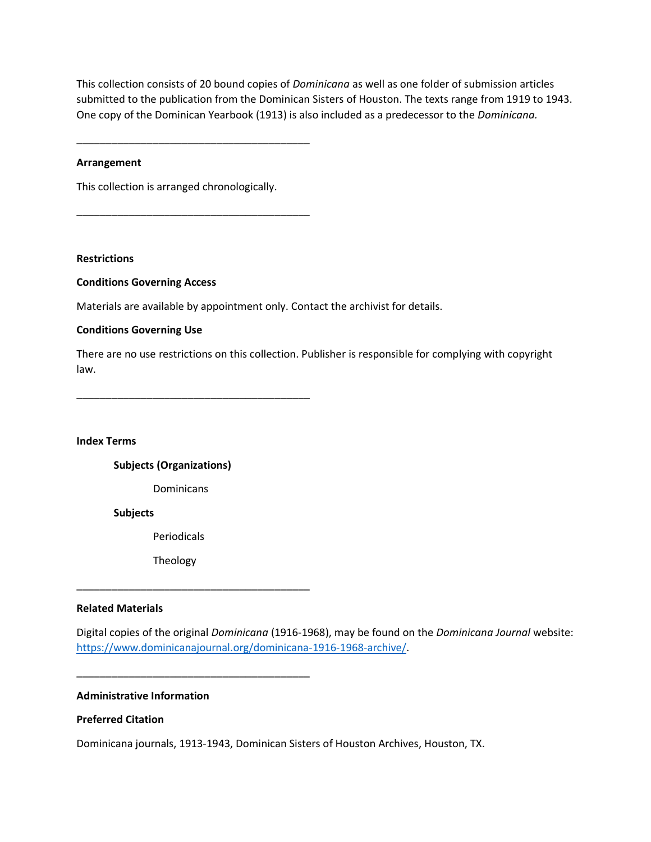This collection consists of 20 bound copies of *Dominicana* as well as one folder of submission articles submitted to the publication from the Dominican Sisters of Houston. The texts range from 1919 to 1943. One copy of the Dominican Yearbook (1913) is also included as a predecessor to the *Dominicana.*

\_\_\_\_\_\_\_\_\_\_\_\_\_\_\_\_\_\_\_\_\_\_\_\_\_\_\_\_\_\_\_\_\_\_\_\_\_\_\_\_

\_\_\_\_\_\_\_\_\_\_\_\_\_\_\_\_\_\_\_\_\_\_\_\_\_\_\_\_\_\_\_\_\_\_\_\_\_\_\_\_

### **Arrangement**

This collection is arranged chronologically.

**Restrictions**

#### **Conditions Governing Access**

Materials are available by appointment only. Contact the archivist for details.

#### **Conditions Governing Use**

There are no use restrictions on this collection. Publisher is responsible for complying with copyright law.

\_\_\_\_\_\_\_\_\_\_\_\_\_\_\_\_\_\_\_\_\_\_\_\_\_\_\_\_\_\_\_\_\_\_\_\_\_\_\_\_

**Index Terms**

**Subjects (Organizations)**

Dominicans

**Subjects**

Periodicals

Theology

#### **Related Materials**

Digital copies of the original *Dominicana* (1916-1968), may be found on the *Dominicana Journal* website: [https://www.dominicanajournal.org/dominicana-1916-1968-archive/.](https://www.dominicanajournal.org/dominicana-1916-1968-archive/)

\_\_\_\_\_\_\_\_\_\_\_\_\_\_\_\_\_\_\_\_\_\_\_\_\_\_\_\_\_\_\_\_\_\_\_\_\_\_\_\_

\_\_\_\_\_\_\_\_\_\_\_\_\_\_\_\_\_\_\_\_\_\_\_\_\_\_\_\_\_\_\_\_\_\_\_\_\_\_\_\_

## **Administrative Information**

#### **Preferred Citation**

Dominicana journals, 1913-1943, Dominican Sisters of Houston Archives, Houston, TX.